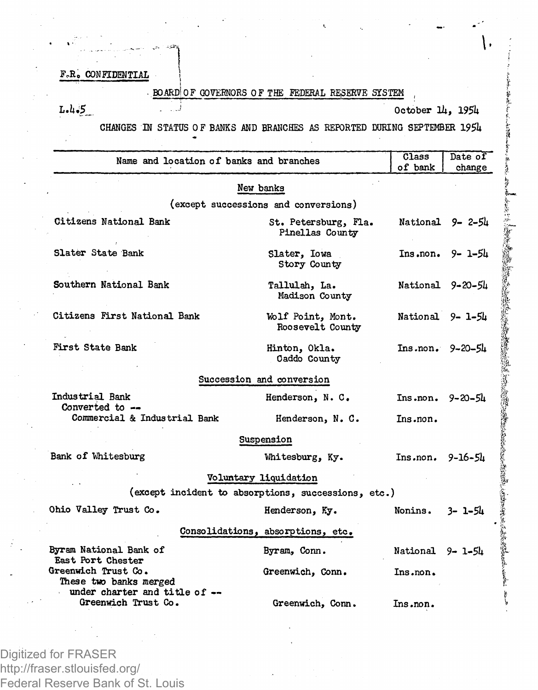F.R. CONFIDENTIAL

BOARD!OF GOVERNORS OF THE FEDERAL RESERVE SYSTEM

L.l. $5$ 

October 14, 1954

CHANGES IN STATUS OF BANKS AND BRANCHES AS REPORTED DURING SEPTEMBER 1954

| Name and location of banks and branches                            |                                                     | Class<br>of bank    | Date of<br>change     |
|--------------------------------------------------------------------|-----------------------------------------------------|---------------------|-----------------------|
|                                                                    | New banks                                           |                     |                       |
|                                                                    | (except successions and conversions)                |                     |                       |
| Citizens National Bank                                             | St. Petersburg, Fla.<br>Pinellas County             |                     | National $9 - 2 - 54$ |
| Slater State Bank                                                  | Slater, Iowa<br>Story County                        |                     | $Ins1 non. 9 - 1-54$  |
| Southern National Bank                                             | Tallulah, La.<br>Madison County                     |                     | National 9-20-54      |
| Citizens First National Bank                                       | Wolf Point, Mont.<br>Roosevelt County               | National 9-1-54     |                       |
| First State Bank                                                   | Hinton, Okla.<br>Oaddo County                       | $Ins.non. 9-20-5h$  |                       |
|                                                                    | Succession and conversion                           |                     |                       |
| Industrial Bank                                                    | Henderson, N. C.                                    | $Ins.non. 9-20-5h$  |                       |
| Converted to $-$<br>Commercial & Industrial Bank                   | Henderson, N. C.                                    | Ins.non.            |                       |
|                                                                    | Suspension                                          |                     |                       |
| Bank of Whitesburg                                                 | Whitesburg, Ky.                                     | $Ins. non. 9-16-5h$ |                       |
|                                                                    | Voluntary liquidation                               |                     |                       |
|                                                                    | (except incident to absorptions, successions, etc.) |                     |                       |
| Ohio Valley Trust Co.                                              | Henderson, Ky.                                      | Nonins.             | 3- 1-54               |
|                                                                    | Consolidations, absorptions, etc.                   |                     |                       |
| Byram National Bank of                                             | Byram, Conn.                                        | National 9- 1-54    |                       |
| East Port Chester<br>Greenwich Trust Co.<br>These two banks merged | Greenwich, Conn.                                    | Ins.non.            |                       |
| under charter and title of --<br>Greenwich Trust Co.               | Greenwich, Conn.                                    | Ins.non.            |                       |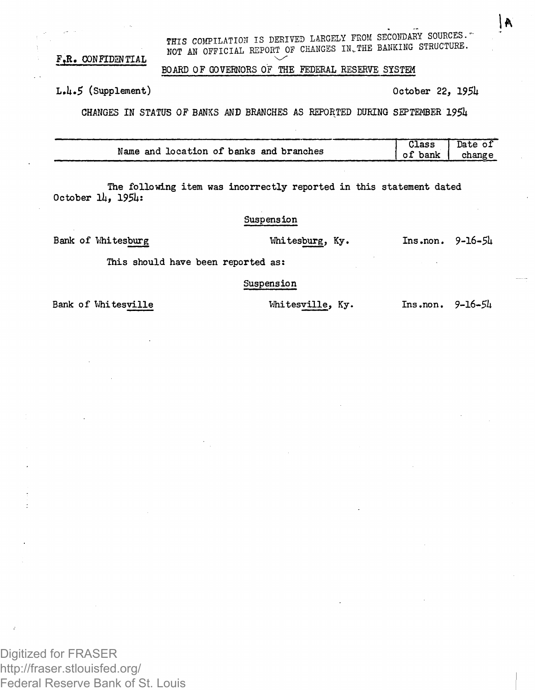THIS COMPILATION IS DERIVED LARGELY FROM SECONDARY SOURCES. F.R. CONFIDENTIAL NOT AN OFFICIAL REPORT OF CHANGES IN THE BANKING STRUCTURE.

## BOARD OF GOVERNORS OF THE FEDERAL RESERVE SYSTEM

**L.U.5** (Supplement) October *22, 195k*

١A

CHANGES IN STATUS OF BANKS AND BRANCHES AS REPORTED DURING SEPTEMBER *195k*

|                                         | Class   | Date of<br>$\mathbf{I}$ |
|-----------------------------------------|---------|-------------------------|
| Name and location of banks and branches | of bank | change                  |

The following item was incorrectly reported in this statement dated October **ill, 195k:**

Suspension

**Bank of Miitesburg Whitesburg, Ky. Ins.non. 9-16-5U**

**This should have been reported as:**

Suspension

**Bank** of Whitesville *Mhitesville*, Ky. **Ins.non.**  $9-\frac{16-5\mu}{2}$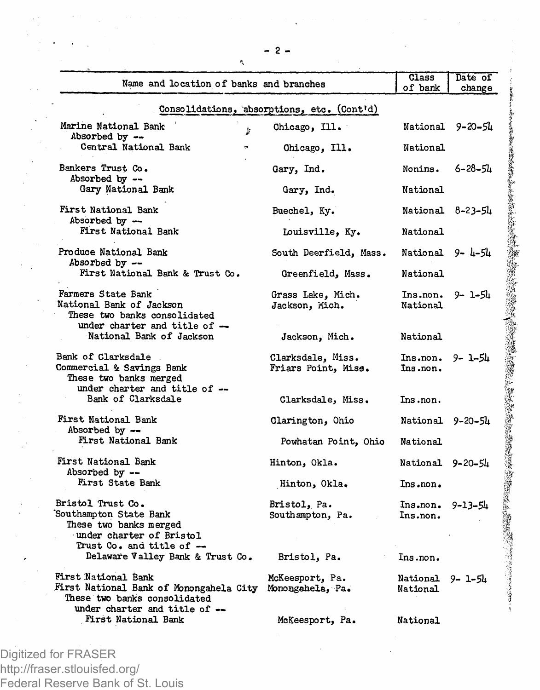| Name and location of banks and branches                                                                                        |                                          | Class<br>of bank                 | Date of<br>change |  |  |
|--------------------------------------------------------------------------------------------------------------------------------|------------------------------------------|----------------------------------|-------------------|--|--|
| Consolidations, absorptions, etc. (Cont'd)                                                                                     |                                          |                                  |                   |  |  |
| Marine National Bank<br>Þ<br>Absorbed by --                                                                                    | Chicago, Ill.                            |                                  | National 9-20-54  |  |  |
| Central National Bank                                                                                                          | Chicago, Ill.                            | National                         |                   |  |  |
| Bankers Trust Co.<br>Absorbed by --                                                                                            | Gary, Ind.                               | Nonins.                          | $6 - 28 - 54$     |  |  |
| Gary National Bank                                                                                                             | Gary, Ind.                               | National                         |                   |  |  |
| First National Bank<br>Absorbed by --                                                                                          | Buechel, Ky.                             |                                  | National 8-23-54  |  |  |
| First National Bank                                                                                                            | Louisville, Ky.                          | National                         |                   |  |  |
| Produce National Bank<br>Absorbed by --                                                                                        | South Deerfield, Mass.                   | National 9-4-54                  |                   |  |  |
| First National Bank & Trust Co.                                                                                                | Greenfield, Mass.                        | National                         |                   |  |  |
| Farmers State Bank<br>National Bank of Jackson<br>These two banks consolidated                                                 | Grass Lake, Mich.<br>Jackson, Mich.      | Ins.non.<br>National             | 9- 1-54           |  |  |
| under charter and title of --<br>National Bank of Jackson                                                                      | Jackson, Mich.                           | National                         |                   |  |  |
| Bank of Clarksdale<br>Commercial & Savings Bank<br>These two banks merged<br>under charter and title of --                     | Clarksdale, Miss.<br>Friars Point, Miss. | Ins.non.<br>Ins.non.             | 9- 1-54           |  |  |
| Bank of Clarksdale                                                                                                             | Clarksdale, Miss.                        | Ins.non.                         |                   |  |  |
| First National Bank<br>Absorbed by --                                                                                          | Clarington, Ohio                         | National 9-20-54                 |                   |  |  |
| First National Bank                                                                                                            | Powhatan Point, Ohio                     | National                         |                   |  |  |
| First National Bank<br>Absorbed by --                                                                                          | Hinton, Okla.                            | National 9-20-54                 |                   |  |  |
| <b>First State Bank</b>                                                                                                        | Hinton, Okla.                            | Ins.non.                         |                   |  |  |
| Bristol Trust Co.<br>Southampton State Bank<br>These two banks merged<br>under charter of Bristol<br>Trust Co. and title of -- | Bristol, Pa.<br>Southampton, Pa.         | $Insnon$ , $9-13-5h$<br>Ins.non. |                   |  |  |
| Delaware Valley Bank & Trust Co.                                                                                               | Bristol, Pa.                             | Ins.non.                         |                   |  |  |
| First National Bank<br>First National Bank of Monongahela City<br>These two banks consolidated                                 | McKeesport, Pa.<br>Monongahela, Pa.      | National 9-1-54<br>National      |                   |  |  |
| under charter and title of --<br>First National Bank                                                                           | McKeesport, Pa.                          | National                         |                   |  |  |

**¥ :>** 

*w*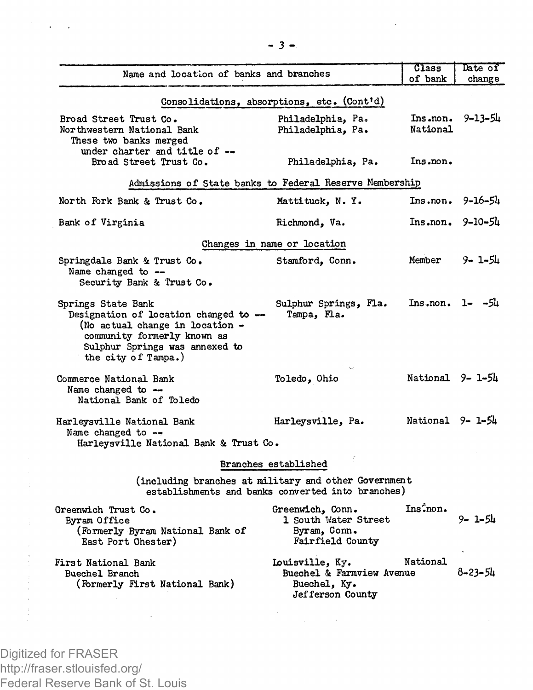|                                                                                                                                                                                        |                                                                                                           | Class                 | Date of       |
|----------------------------------------------------------------------------------------------------------------------------------------------------------------------------------------|-----------------------------------------------------------------------------------------------------------|-----------------------|---------------|
| Name and location of banks and branches                                                                                                                                                |                                                                                                           | of bank               | change        |
|                                                                                                                                                                                        | Consolidations, absorptions, etc. (Cont'd)                                                                |                       |               |
| Broad Street Trust Co.<br>Northwestern National Bank<br>These two banks merged                                                                                                         | Philadelphia, Pa.<br>Philadelphia, Pa.                                                                    | Ins.non.<br>National  | $9 - 13 - 51$ |
| under charter and title of --<br>Broad Street Trust Co.                                                                                                                                | Philadelphia, Pa.                                                                                         | Ins.non.              |               |
| Admissions of State banks to Federal Reserve Membership                                                                                                                                |                                                                                                           |                       |               |
| North Fork Bank & Trust Co.                                                                                                                                                            | Mattituck, N.Y.                                                                                           | Ins.non.              | 9-16-54       |
| Bank of Virginia                                                                                                                                                                       | Richmond, Va.                                                                                             | Ins.non.              | $9 - 10 - 5h$ |
|                                                                                                                                                                                        | Changes in name or location                                                                               |                       |               |
| Springdale Bank & Trust Co.<br>Name changed to --<br>Security Bank & Trust Co.                                                                                                         | Stamford, Conn.                                                                                           | Member                | 9- 1-54       |
| Springs State Bank<br>Designation of location changed to --<br>(No actual change in location -<br>community formerly known as<br>Sulphur Springs was annexed to<br>the city of Tampa.) | Sulphur Springs, Fla.<br>Tampa. Fla.                                                                      | $Insnon. 1 - -54$     |               |
| Commerce National Bank<br>Name changed to $-$<br>National Bank of Toledo                                                                                                               | Toledo, Ohio                                                                                              | National 9-1-54       |               |
| Harleysville National Bank<br>Name changed to --<br>Harleysville National Bank & Trust Co.                                                                                             | Harleysville, Pa.                                                                                         | National 9-1-54       |               |
|                                                                                                                                                                                        | Branches established                                                                                      |                       |               |
|                                                                                                                                                                                        | (including branches at military and other Government<br>establishments and banks converted into branches) |                       |               |
| Greenwich Trust Co.<br>Byram Office<br>(Formerly Byram National Bank of<br>East Port Chester)                                                                                          | Greenwich, Conn.<br>1 South Water Street<br>Byram, Conn.<br>Fairfield County                              | Ins <sup>2</sup> non. | 9- 1-54       |
| First National Bank<br>Buechel Branch<br>(Formerly First National Bank)                                                                                                                | Louisville, Ky.<br>Buechel & Farmview Avenue<br>Buechel, Ky.<br>Jefferson County                          | National              | 8–23–54       |

Digitized for FRASER http://fraser.stlouisfed.org/ Federal Reserve Bank of St. Louis

 $\bar{z}$ 

 $\ddot{\phantom{a}}$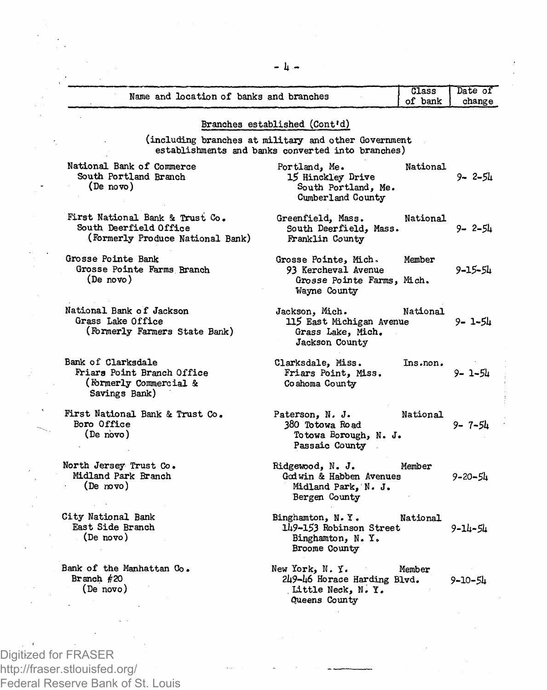| Name and location of banks and branches                                                       |                                                                                                           | Class<br>of bank | Date of<br>change |
|-----------------------------------------------------------------------------------------------|-----------------------------------------------------------------------------------------------------------|------------------|-------------------|
|                                                                                               | Branches established (Cont'd)                                                                             |                  |                   |
|                                                                                               |                                                                                                           |                  |                   |
|                                                                                               | (including branches at military and other Government<br>establishments and banks converted into branches) |                  |                   |
| National Bank of Commerce<br>South Portland Branch<br>(De novo)                               | Portland, Me.<br>15 Hinckley Drive<br>South Portland, Me.<br>Cumberland County                            | National         | 9-2-54            |
| First National Bank & Trust Co.<br>South Deerfield Office<br>(Formerly Produce National Bank) | Greenfield, Mass.<br>South Deerfield. Mass.<br>Franklin County                                            | National         | 9- 2-54           |
| Grosse Pointe Bank                                                                            | Grosse Pointe, Mich.                                                                                      | Member           |                   |
| Grosse Pointe Farms Branch<br>(De novo)                                                       | 93 Kercheval Avenue<br>Grosse Pointe Farms, Mich.<br>Wayne County                                         |                  | 9–15–54           |
| National Bank of Jackson<br>Grass Lake Office<br>(Formerly Farmers State Bank)                | Jackson, Mich.<br>115 East Michigan Avenue<br>Grass Lake, Mich.<br>Jackson County                         | National         | 9- 1-54           |
| Bank of Clarksdale<br>Friars Point Branch Office<br>(Formerly Commercial &<br>Savings Bank)   | Clarksdale, Miss.<br>Friars Point, Miss.<br>Coahoma County                                                | Ins.non.         | 9- 1-54           |
| First National Bank & Trust Co.<br>Boro Office<br>(De novo)                                   | Paterson, N. J.<br>380 Totowa Road<br>Totowa Borough, N. J.<br>Passaic County                             | National         | 9- 7-54           |
| North Jersey Trust Co.<br>Midland Park Branch<br>(De Novo)                                    | Ridgewood, N. J.<br>Godwin & Habben Avenues<br>Midland Park, N. J.<br>Bergen County                       | Member           | $9 - 20 - 51$     |
| City National Bank<br>East Side Branch<br>(De novo)                                           | Binghamton, N.Y.<br>149-153 Robinson Street<br>Binghamton, N. Y.<br>Broome County                         | National         | 9-14-54           |
| Bank of the Manhattan Co.<br>Branch $#20$<br>(De novo)                                        | New York, N.Y.<br>Member<br>249-46 Horace Harding Blvd.<br>Little Neck, N.Y.<br>Queens County             |                  | 9-10-54           |

**- li -**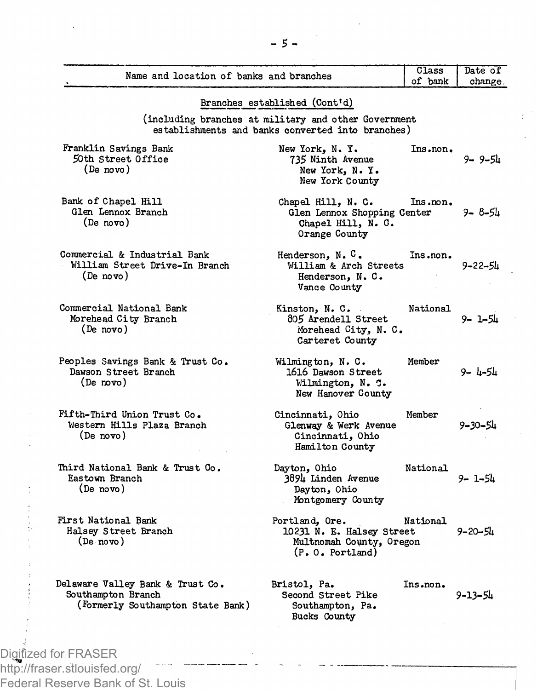| Name and location of banks and branches                                                     |                                                                                                           | Class<br>of bank | Date of<br>change |
|---------------------------------------------------------------------------------------------|-----------------------------------------------------------------------------------------------------------|------------------|-------------------|
|                                                                                             |                                                                                                           |                  |                   |
|                                                                                             | Branches established (Cont'd)                                                                             |                  |                   |
|                                                                                             | (including branches at military and other Government<br>establishments and banks converted into branches) |                  |                   |
| Franklin Savings Bank<br>50th Street Office<br>(De novo)                                    | New York, N.Y.<br>735 Ninth Avenue<br>New York, N.Y.<br>New York County                                   | Ins.non.         | 9-9-54            |
| Bank of Chapel Hill<br>Glen Lennox Branch<br>(De novo)                                      | Chapel Hill. N. C.<br>Glen Lennox Shopping Center<br>Chapel Hill, N. O.<br>Orange County                  | Ins.non.         | 9− 8−54           |
| Commercial & Industrial Bank<br>William Street Drive-In Branch<br>(De novo)                 | Henderson, N.C.<br>William & Arch Streets<br>Henderson, N.C.<br>Vance County                              | Ins.non.         | 9–22–54           |
| Commercial National Bank<br>Morehead City Branch<br>(De novo)                               | Kinston, N. C.<br>805 Arendell Street<br>Morehead City, N. C.<br>Carteret County                          | National         | 9- 1-51           |
| Peoples Savings Bank & Trust Co.<br>Dawson Street Branch<br>(De novo)                       | Wilmington, N. C.<br>1616 Dawson Street<br>Wilmington, N. C.<br>New Hanover County                        | Member           | 9-4-54            |
| Fifth-Third Union Trust Co.<br>Western Hills Plaza Branch<br>(De novo)                      | Cincinnati, Ohio<br>Glenway & Werk Avenue<br>Cincinnati, Ohio<br>Hamilton County                          | Member           | 9–30–54           |
| Third National Bank & Trust Co.<br>Eastown Branch<br>(De novo)                              | Dayton, Ohio<br>3894 Linden Avenue<br>Dayton, Ohio<br>Montgomery County                                   | National         | 9- 1-54           |
| First National Bank<br>Halsey Street Branch<br>(De novo)                                    | Portland, Ore.<br>10231 N. E. Halsey Street<br>Multnomah County, Oregon<br>$(P, 0,$ Portland)             | National         | $9 - 20 - 51$     |
| Delaware Valley Bank & Trust Co.<br>Southampton Branch<br>(Formerly Southampton State Bank) | Bristol, Pa.<br>Second Street Pike<br>Southampton, Pa.<br>Bucks County                                    | Ins.non.         | 9-13-54           |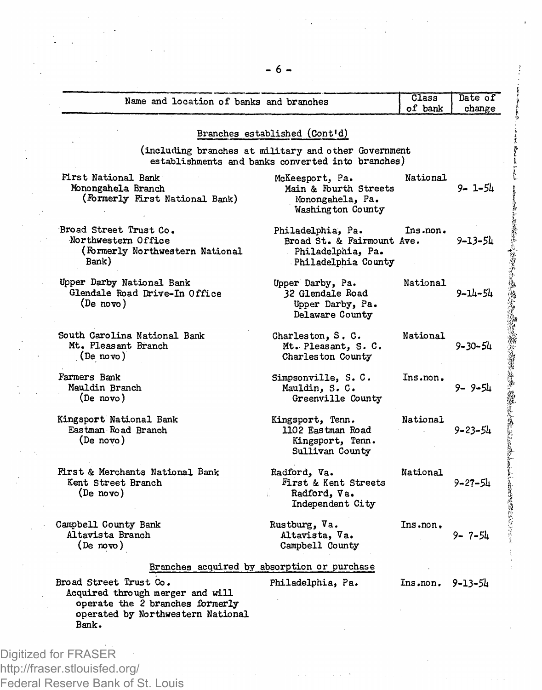| Name and location of banks and branches                                                                                                     |                                                                                                           | Class<br>of bank       | Date of<br>change |  |  |  |
|---------------------------------------------------------------------------------------------------------------------------------------------|-----------------------------------------------------------------------------------------------------------|------------------------|-------------------|--|--|--|
|                                                                                                                                             | Branches established (Cont'd)                                                                             |                        |                   |  |  |  |
|                                                                                                                                             | (including branches at military and other Government<br>establishments and banks converted into branches) |                        |                   |  |  |  |
| First National Bank<br>Monongahela Branch<br>(Formerly First National Bank)                                                                 | McKeesport, Pa.<br>Main & Fourth Streets<br>Monongahela, Pa.<br>Washington County                         | National               | 9- 1-54           |  |  |  |
| Broad Street Trust Co.<br>Northwestern Office<br>(Formerly Northwestern National<br>Bank)                                                   | Philadelphia, Pa.<br>Broad St. & Fairmount Ave.<br>Philadelphia, Pa.<br>Philadelphia County               | Ins.non.               | 9–13–54           |  |  |  |
| Upper Darby National Bank<br>Glendale Road Drive-In Office<br>(De novo)                                                                     | Upper Darby, Pa.<br>32 Glendale Road<br>Upper Darby, Pa.<br>Delaware County                               | National               | 9-14-54           |  |  |  |
| South Carolina National Bank<br>Mt. Pleasant Branch<br>(De novo)                                                                            | Charleston, S. C.<br>Mt. Pleasant, S. C.<br>Charleston County                                             | National               | 9-30-54           |  |  |  |
| Farmers Bank<br>Mauldin Branch<br>(De novo)                                                                                                 | Simpsonville, S.C.<br>Mauldin, S. C.<br>Greenville County                                                 | Ins.non.               | 9- 9-54           |  |  |  |
| Kingsport National Bank<br>Eastman Road Branch<br>(De novo)                                                                                 | Kingsport, Tenn.<br>1102 Eastman Road<br>Kingsport, Tenn.<br>Sullivan County                              | National<br>$\sim 100$ | 9-23-54           |  |  |  |
| First & Merchants National Bank<br>Kent Street Branch<br>(De novo)                                                                          | Radford. Va.<br>First & Kent Streets<br>Radford, Va.<br>Independent City                                  | National               | 9–27–54           |  |  |  |
| Campbell County Bank<br>Altavista Branch<br>(De novo)                                                                                       | Rustburg, Va.<br>Altavista, Va.<br>Campbell County                                                        | Ins.non.               | $9 - 7 - 54$      |  |  |  |
|                                                                                                                                             | Branches acquired by absorption or purchase                                                               |                        |                   |  |  |  |
| Broad Street Trust Co.<br>Acquired through merger and will<br>operate the 2 branches formerly<br>operated by Northwestern National<br>Bank. | Philadelphia, Pa.                                                                                         | $Insnon$ , $9-13-54$   |                   |  |  |  |

**I** 

**i i.**  &

http://fraser.stlouisfed.org/ Federal Reserve Bank of St. Louis

.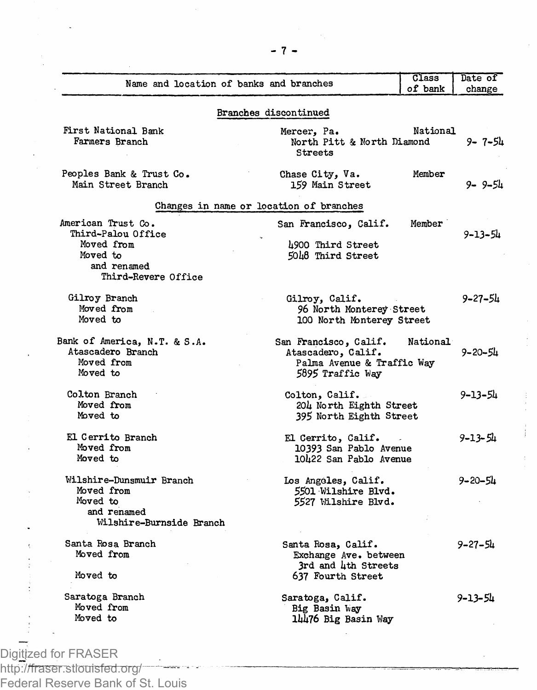| Name and location of banks and branches                                                                  |                                                                                               | Class<br>of bank | Date of<br>change |
|----------------------------------------------------------------------------------------------------------|-----------------------------------------------------------------------------------------------|------------------|-------------------|
|                                                                                                          | Branches discontinued                                                                         |                  |                   |
| First National Bank<br>Farmers Branch                                                                    | Mercer, Pa.<br>North Pitt & North Diamond<br>Streets                                          | National         | $9 - 7 - 54$      |
| Peoples Bank & Trust Co.<br>Main Street Branch                                                           | Chase City, Va.<br>159 Main Street                                                            | Member           | 9-9-54            |
|                                                                                                          | Changes in name or location of branches                                                       |                  |                   |
| American Trust Co.<br>Third-Palou Office<br>Moved from<br>Moved to<br>and renamed<br>Third-Revere Office | San Francisco, Calif.<br>4900 Third Street<br>5048 Third Street                               | Member           | 9-13-54           |
| Gilroy Branch<br>Moved from<br>Moved to                                                                  | Gilroy, Calif.<br>96 North Monterey Street<br>100 North Monterey Street                       |                  | 9–27–54           |
| Bank of America, N.T. & S.A.<br>Atascadero Branch<br>Moved from<br>Moved to                              | San Francisco, Calif.<br>Atascadero, Calif.<br>Palma Avenue & Traffic Way<br>5895 Traffic Way | National         | 9-20-54           |
| Colton Branch<br>Moved from<br>Moved to                                                                  | Colton, Calif.<br>204 North Eighth Street<br>395 North Eighth Street                          |                  | 9-13-54           |
| El Cerrito Branch<br>Moved from<br>Moved to                                                              | El Cerrito, Calif.<br>10393 San Pablo Avenue<br>10422 San Pablo Avenue                        |                  | 9-13-54           |
| Wilshire-Dunsmuir Branch<br>Moved from<br>Moved to<br>and renamed<br>Wilshire-Burnside Branch            | Los Angeles, Calif.<br>5501 Wilshire Blvd.<br>5527 Wilshire Blvd.                             |                  | 9-20-54           |
| Santa Rosa Branch<br>Moved from<br>Moved to                                                              | Santa Rosa, Calif.<br>Exchange Ave. between<br>3rd and 4th Streets<br>637 Fourth Street       |                  | 9-27-54           |
| Saratoga Branch<br>Moved from<br>Moved to                                                                | Saratoga, Calif.<br>Big Basin Way<br>14476 Big Basin Way                                      |                  | 9-13-54           |